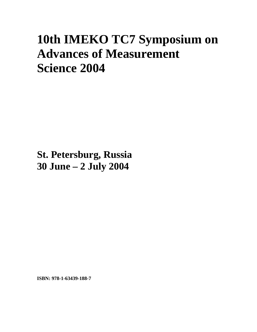## **10th IMEKO TC7 Symposium on Advances of Measurement Science 2004**

**St. Petersburg, Russia 30 June – 2 July 2004**

**ISBN: 978-1-63439-188-7**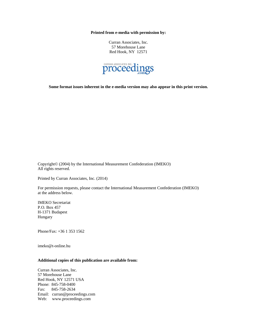**Printed from e-media with permission by:** 

Curran Associates, Inc. 57 Morehouse Lane Red Hook, NY 12571



**Some format issues inherent in the e-media version may also appear in this print version.** 

Copyright© (2004) by the International Measurement Confederation (IMEKO) All rights reserved.

Printed by Curran Associates, Inc. (2014)

For permission requests, please contact the International Measurement Confederation (IMEKO) at the address below.

IMEKO Secretariat P.O. Box 457 H-1371 Budapest Hungary

Phone/Fax: +36 1 353 1562

imeko@t-online.hu

## **Additional copies of this publication are available from:**

Curran Associates, Inc. 57 Morehouse Lane Red Hook, NY 12571 USA Phone: 845-758-0400 Fax: 845-758-2634 Email: curran@proceedings.com Web: www.proceedings.com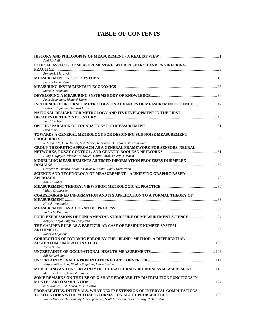## **TABLE OF CONTENTS**

| Joel Michell                                                                                             |  |
|----------------------------------------------------------------------------------------------------------|--|
| ETHICAL ASPECTS OF MEASUREMENT-RELATED RESEARCH AND ENGINEERING                                          |  |
| Roman Z. Morawski                                                                                        |  |
|                                                                                                          |  |
| Ludwik Finkelstein                                                                                       |  |
|                                                                                                          |  |
| Macel J. Boumans                                                                                         |  |
|                                                                                                          |  |
| Peter Sydenham, Richard Thorn                                                                            |  |
| INFLUENCE OF INTERNET METROLOGY ON ADVANCES OF MEASUREMENT SCIENCE 42<br>Dietrich Hofmann, Gerhard Linss |  |
| NATIONAL DEMAND FOR METROLOGY AND ITS DEVELOPMENT IN THE FIRST                                           |  |
|                                                                                                          |  |
| Yu. V. Tarbeev                                                                                           |  |
|                                                                                                          |  |
| Luca Mari                                                                                                |  |
| TOWARDS A GENERAL METROLOGY FOR DESIGNING SUB-NOISE MEASUREMENT                                          |  |
| R. Osegueda, G. R. Keller, S. A. Starks, R. Araiza, D. Bizyaev, V. Kreinovich                            |  |
| GROUP-THEORETIC APPROACH AS A GENERAL FRAMEWORK FOR SENSORS, NEURAL                                      |  |
| Hung T. Nguyen, Vladik Kreinovich, Chitta Baral, Valery D. Mazin                                         |  |
| MODELLING MEASUREMENTS AS TIMED INFORMATION PROCESSES IN SIMPLEX                                         |  |
|                                                                                                          |  |
| Graçaliz P. Dimuro, Antônio Carlos R. Costa, Vladik Kreinovich                                           |  |
| SCIENCE AND TECHNOLOGY OF MEASUREMENT - A UNIFYING GRAPHIC-BASED                                         |  |
|                                                                                                          |  |
| Karl H. Ruhm                                                                                             |  |
|                                                                                                          |  |
| Valery Granovsky                                                                                         |  |
| <b>COARSE-GRAINED INFORMATION AND ITS APPLICATION TO A FORMAL THEORY OF</b>                              |  |
|                                                                                                          |  |
| Hiroshi Watanabe                                                                                         |  |
|                                                                                                          |  |
| Vadim G. Knorring                                                                                        |  |
| Komyo Kariya, Shigeru Takayama                                                                           |  |
| THE CALIPER RULE AS A PARTICULAR CASE OF RESIDUE NUMBER SYSTEM                                           |  |
|                                                                                                          |  |
| Roberto Lojacono                                                                                         |  |
| <b>CORRECTION OF DYNAMIC ERROR BY THE "BLIND" METHOD. A DIFFERENTIAL</b>                                 |  |
|                                                                                                          |  |
| Jacek Nalepa                                                                                             |  |
|                                                                                                          |  |
| Edi Kulderknup                                                                                           |  |
|                                                                                                          |  |
| Filippo Attivissimo, Nicola Giaquinto, Mario Savino                                                      |  |
| <b>MODELLING AND UNCERTAINTY OF HIGH-ACCURACY ROUNDNESS MEASUREMENT  118</b>                             |  |
| Maurice G. Cox, Annarita Lazzari                                                                         |  |
| SOME REMARKS ON THE USE OF U-SHAPE PROBABILITY DISTRIBUTION FUNCTIONS IN                                 |  |
|                                                                                                          |  |
| A. S. Ribeiro, J. A. Sousa, M. P. Castro                                                                 |  |
| PROBABILITIES, INTERVALS, WHAT NEXT? EXTENSION OF INTERVAL COMPUTATIONS                                  |  |
|                                                                                                          |  |
| Vladik Kreinovich, Gennady N. Solopchenko, Scott A. Ferson, Lev Ginzburg, Richard Alo                    |  |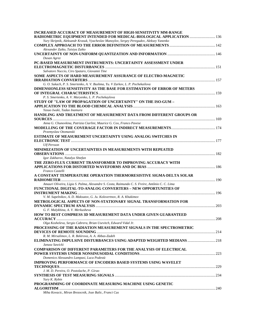| <b>INCREASED ACCURACY OF MEASUREMENT OF HIGH-SENSITIVITY MM-RANGE</b><br>RADIOMETRIC EQUIPMENT INTENDED FOR MEDICAL-BIOLOGICAL APPLICATION  136 |  |
|-------------------------------------------------------------------------------------------------------------------------------------------------|--|
| Yury Skripnik, Aleksandr Krasuk, Vyacheslav Manoylov, Sergey Peregudov, Aleksey Yanenko                                                         |  |
|                                                                                                                                                 |  |
| Alexander Zaiko, Taisiya Zaiko                                                                                                                  |  |
|                                                                                                                                                 |  |
| Dusan Agrez                                                                                                                                     |  |
| PC-BASED MEASUREMENT INSTRUMENTS: UNCERTAINTY ASSESSMENT UNDER                                                                                  |  |
|                                                                                                                                                 |  |
| Salvatore Nuccio, Ciro Spataro, Giovanni Tine<br>SOME ASPECTS OF HARD MEASUREMENT ASSURANCE OF ELECTRO-MAGNETIC                                 |  |
|                                                                                                                                                 |  |
| G. O. Sukach, P. S. Smertenko, A. V. Bushma, Yu. V Zarkov, L. P. Pochekailova                                                                   |  |
| <b>DIMENSIONLESS SENSITIVITY AS THE BASE FOR ESTIMATION OF ERROR OF METERS</b>                                                                  |  |
|                                                                                                                                                 |  |
| P. S. Smertenko, A. V. Maryenko, L. P. Pochekaylova                                                                                             |  |
| STUDY OF "LAW OF PROPAGATION OF UNCERTAINTY" ON THE ISO-GUM -                                                                                   |  |
|                                                                                                                                                 |  |
| Yasuo Iwaki, Tadao Inamura                                                                                                                      |  |
| HANDLING AND TREATMENT OF MEASUREMENT DATA FROM DIFFERENT GROUPS OR                                                                             |  |
| Anna G. Chunovkina, Patrizia Ciarlini, Maurice G. Cox, Franco Pavese                                                                            |  |
|                                                                                                                                                 |  |
| Przemyslaw Otomanski                                                                                                                            |  |
| <b>ESTIMATE OF MEASUREMENT UNCERTAINTY USING ANALOG SWITCHES IN</b>                                                                             |  |
|                                                                                                                                                 |  |
| <b>Ulf Persson</b>                                                                                                                              |  |
| MINIMIZATION OF UNCERTAINTIES IN MEASUREMENTS WITH REPEATED                                                                                     |  |
| Igor Zakharov, Natalya Shtefan                                                                                                                  |  |
| THE ZERO-FLUX CURRENT TRANSFORMER TO IMPROVING ACCURACY WITH                                                                                    |  |
|                                                                                                                                                 |  |
| Franco Castelli                                                                                                                                 |  |
| A CONSTANT TEMPERATURE OPERATION THERMORESISTIVE SIGMA-DELTA SOLAR                                                                              |  |
|                                                                                                                                                 |  |
| Amauri Oliveira, Lígia S. Palma, Alexandre S. Costa, Raimundo C. S. Freire, Antônio C. C. Lima                                                  |  |
| <b>FUNCTIONAL DIGITAL-TO-ANALOG CONVERTERS – NEW OPPORTUNITIES OF</b>                                                                           |  |
| V. M. Sapelnikov, A. D. Maksutov, G. Ju. Kolovertnov, R. A. Khakimov                                                                            |  |
| METROLOGICAL ASPECTS OF NON-STATIONARY SIGNAL TRANSFORMATION FOR                                                                                |  |
|                                                                                                                                                 |  |
| G. F. Malykhina, A. V. Merkusheva                                                                                                               |  |
| <b>HOW TO BEST COMPRESS 3D MEASUREMENT DATA UNDER GIVEN GUARANTEED</b>                                                                          |  |
|                                                                                                                                                 |  |
| Olga Kosheleva, Sergio Cabrera, Brian Usevitch, Edward Vidal Jr.                                                                                |  |
| PROCESSING OF THE RADIATION MEASUREMENT SIGNALS IN THE SPECTROMETRIC                                                                            |  |
| R. M. Mirsalimov, L. R. Bekirova, A. A. Abbas-Zadeh                                                                                             |  |
| ELIMINATING IMPULSIVE DISTURBANCES USING ADAPTED WEIGHTED MEDIANS 218                                                                           |  |
| Janusz Sawicki                                                                                                                                  |  |
| <b>COMPARISON OF DIFFERENT PARAMETERS FOR THE ANALYSIS OF ELECTRICAL</b>                                                                        |  |
|                                                                                                                                                 |  |
| Domenico Alessandro Lampasi, Luca Podestà                                                                                                       |  |
| <b>IMPROVING PERFORMANCE OF ENCODERS BASED SYSTEMS USING WAVELET</b>                                                                            |  |
| J. M. D. Pereira, O. Postolache, P. Girao                                                                                                       |  |
|                                                                                                                                                 |  |
| Yury K. Rybin                                                                                                                                   |  |
| PROGRAMMING OF COORDINATE MEASURING MACHINE USING GENETIC                                                                                       |  |
|                                                                                                                                                 |  |
| Miha Kovacic, Miran Brezocnik, Joze Balic, Franci Cus                                                                                           |  |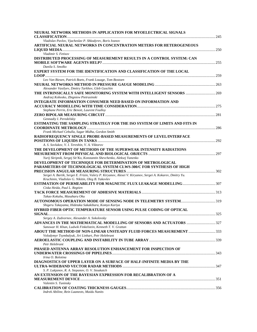| NEURAL NETWORK METHODS IN APPLICATION FOR MYOELECTRICAL SIGNALS                                           |  |
|-----------------------------------------------------------------------------------------------------------|--|
|                                                                                                           |  |
| Vladislav Pavlov, Vjacheslav P. Shkodyrev, Boris Ivanov                                                   |  |
| ARTIFICIAL NEURAL NETWORKS IN CONCENTRATION METERS FOR HETEROGENEOUS                                      |  |
| Vladimir S. Fetisov                                                                                       |  |
|                                                                                                           |  |
| DISTRIBUTED PROCESSING OF MEASUREMENT RESULTS IN A CONTROL SYSTEM: CAN                                    |  |
| Danila S. Smolko                                                                                          |  |
| EXPERT SYSTEM FOR THE IDENTIFICATION AND CLASSIFICATION OF THE LOCAL                                      |  |
|                                                                                                           |  |
| Leo Van Biesen, Patrick Boets, Frank Louage, Tom Bostoen                                                  |  |
|                                                                                                           |  |
| Alexander Vasilyev, Dmitry Tarkhov, Gleb Guschin                                                          |  |
| THE INTRINSICALLY SAFE MONITORING SYSTEM WITH INTELLIGENT SENSORS  269                                    |  |
| Andrzej Kobosko, Zbigniew Pietrusinski                                                                    |  |
| <b>INTEGRATE INFORMATION CONSUMER NEED BASED ON INFORMATION AND</b>                                       |  |
|                                                                                                           |  |
| Stephane Perrin, Eric Benoit, Laurent Foulloy                                                             |  |
|                                                                                                           |  |
| Gennadiy I. Peredelskiy                                                                                   |  |
| ESTIMATING THE SAMPLING STRATEGY FOR THE ISO SYSTEM OF LIMITS AND FITS IN                                 |  |
|                                                                                                           |  |
| Frank Michael Cebulla, Sagar Midha, Gordon Smith                                                          |  |
| RADIOFREQUENCY SINGLE PROBE-BASED MEASUREMENTS OF LEVEL/INTERFACE                                         |  |
|                                                                                                           |  |
| A. S. Sovlukov, V. I. Tereshin, V. A. Viktorov                                                            |  |
| THE DEVELOPMENT OF METHODS OF THE SUPERWEAK INTENSITY RADIATIONS                                          |  |
|                                                                                                           |  |
| Yurij Skripnik, Sergej Sit'Ko, Konstantin Shevchenko, Aleksej Yanenko                                     |  |
| DEVELOPMENT OF TECHNIQUE FOR DETERMINATION OF METROLOGICAL                                                |  |
| PARAMETERS OF TECHNOLOGICAL SYSTEM CLWS-300/C FOR SYNTHESIS OF HIGH                                       |  |
|                                                                                                           |  |
| Sergei A. Bartik, Sergei E. Frizin, Valery P. Kiryanov, Alexei V. Kiryanov, Sergei A. Kokarev, Dmitry Yu. |  |
| Kruchinin, Vladislav G. Nikitin, Oleg B. Yakovlev                                                         |  |
|                                                                                                           |  |
| Ciska Heida, Paul L. Regtien                                                                              |  |
|                                                                                                           |  |
| Takao Kokubu, Masaharu Oku                                                                                |  |
|                                                                                                           |  |
| Shigeru Takayama, Hidetaka Sakakibara, Komyo Kariya                                                       |  |
| HYBRID FIBER OPTIC TEMPERATURE SENSOR USING PULSE CODING OF OPTICAL                                       |  |
|                                                                                                           |  |
| Sergey A. Zadvornov, Alexander A. Sokolovsky                                                              |  |
| ADVANCES IN THE MATHEMATICAL MODELLING OF SENSORS AND ACTUATORS 327                                       |  |
| Sanowar H. Khan, Ludwik Finkelstein, Kenneth T. V. Grattan                                                |  |
| ABOUT THE METHOD OF NON-LINEAR UNSTEADY FLUID FORCES MEASUREMENT 333                                      |  |
| Volodymyr Tsymbalyuk, Jiri Linhart, Petr Helebrant                                                        |  |
|                                                                                                           |  |
| Petr Helebrant                                                                                            |  |
| PHASED ANTENNA ARRAY RESOLUTION ENHANCEMENT FOR INSPECTION OF                                             |  |
|                                                                                                           |  |
| Irina O. Bolotina                                                                                         |  |
| DIAGNOSTICS OF UPPER LAYER ON A SURFACE OF HALF-INFINITE MEDIA BY THE                                     |  |
|                                                                                                           |  |
| S. P. Lukjanov, R. A. Stepanov, O. V. Stoukatch                                                           |  |
| AN EXTENSION OF THE BAYESIAN EXPRESSION FOR RECALIBRATION OF A                                            |  |
|                                                                                                           |  |
| Valentin S. Tuninsky                                                                                      |  |
|                                                                                                           |  |
| Indrek Abiline, Rein Laaneots, Maidu Nanits                                                               |  |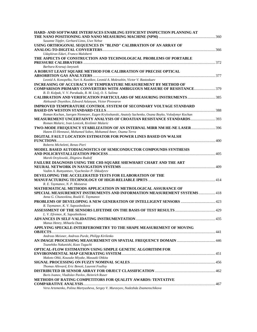| HARD- AND SOFTWARE INTERFACES ENABLING EFFICIENT INSPECTION PLANNING AT                                                         |  |
|---------------------------------------------------------------------------------------------------------------------------------|--|
| Susanne Töpfer, Gerhard Linss, Uwe Nehse                                                                                        |  |
| USING ORTHOGONAL SEQUENCES IN "BLIND" CALIBRATION OF AN ARRAY OF                                                                |  |
|                                                                                                                                 |  |
| Udaykiran Eduri, Franco Maloberti                                                                                               |  |
| THE ASPECTS OF CONSTRUCTION AND TECHNOLOGICAL PROBLEMS OF PORTABLE                                                              |  |
|                                                                                                                                 |  |
| Barbara Krzesaj-Janyszek                                                                                                        |  |
| A ROBUST LEAST SQUARE METHOD FOR CALIBRATION OF PRECISE OPTICAL                                                                 |  |
|                                                                                                                                 |  |
| Leonid A. Konopelko, Yuri A. Kustikov, Leonid A. Mokrushin, Victor V. Rastoskuev                                                |  |
| INCREASING OF ACCURACY OF TEMPERATURE MEASUREMENT BY METHOD OF                                                                  |  |
| COMPARISON PRIMARY CONVERTERS WITH AMBIGUOUS MEASURE OF RESISTANCE 379                                                          |  |
| B. D. Kolpak, V. V. Parakuda, B. M. Lisij, O. S. Sulima                                                                         |  |
| CALIBRATION AND VERIFICATION PARTICULARS OF MEASURING INSTRUMENTS  385<br>Aleksandr Doynikov, Edward Aslanyan, Victor Pivovarov |  |
| <b>IMPROVED TEMPERATURE CONTROL SYSTEM OF SECONDARY VOLTAGE STANDARD</b>                                                        |  |
|                                                                                                                                 |  |
| Roman Kochan, Juergen Niemeyer, Eugen Kryloshanski, Anatoly Sachenko, Oxana Boyko, Volodymyr Kochan                             |  |
|                                                                                                                                 |  |
| Roman Malaric, Ivan Lenicek, Krešimir Malaric                                                                                   |  |
| TWO-MODE FREQUENCY STABILIZATION OF AN INTERNAL MIRR NM HE-NE LASER  396                                                        |  |
| Hatem El-Hennawi, Mohamed Sobee, Mohamed Amer, Osama Terra                                                                      |  |
| DIGITAL FAULT LOCATION ESTIMATOR FOR POWER LINES BASED ON WALSH                                                                 |  |
|                                                                                                                                 |  |
| Roberto Micheletti, Renzo Pieri                                                                                                 |  |
| MODEL BASED AUTODIAGNOSTICS OF SEMICONDUCTOR COMPOUNDS SYNTHESIS                                                                |  |
|                                                                                                                                 |  |
| Marek Orzylowski, Zbigniew Rudolf                                                                                               |  |
| FAILURE DIAGNOSIS USING THE CHI-SQUARE SHEWHART CHART AND THE ART                                                               |  |
|                                                                                                                                 |  |
| Vadim A. Rumyantsev, Vyacheslav P. Shkodyrev                                                                                    |  |
| DEVELOPING THE ACCELERATED TESTS FOR ELABORATION OF THE                                                                         |  |
| R. E. Taymanov, N. P. Moiseeva                                                                                                  |  |
| MATHEMATICAL METHODS APPLICATION IN METROLOGICAL ASSURANCE OF                                                                   |  |
| SPECIAL MEASUREMENT INSTRUMENTS AND INFORMATION MEASUREMENT SYSTEMS  418                                                        |  |
| Anna G. Chunovkina, Roald E. Taymanov                                                                                           |  |
|                                                                                                                                 |  |
| R. Taymanov, K. V. Sapozshnikova                                                                                                |  |
|                                                                                                                                 |  |
| L. V. Efremov, K. Sapozhnikova                                                                                                  |  |
|                                                                                                                                 |  |
| Manus Henry, Mihaela Duta                                                                                                       |  |
| APPLYING SPECKLE-INTERFEROMETRY TO THE SHAPE MEASUREMENT OF MOVING                                                              |  |
|                                                                                                                                 |  |
| Andreas Meixner, Andreas Purde, Philipp Kirilenko                                                                               |  |
|                                                                                                                                 |  |
| Tsunehiko Nakanishi, Kozo Taguchi                                                                                               |  |
| OPTICAL-FLOW ESTIMATION USING SIMPLE GENETIC ALGORITHM FOR                                                                      |  |
| Makoto Ohki, Kousuke Miyake, Masaaki Ohkita                                                                                     |  |
|                                                                                                                                 |  |
| Thomas Allevard, Eric Benoit, Laurent Foulloy                                                                                   |  |
|                                                                                                                                 |  |
| Boris Ivanov, Vladislav Pavlov, Heinrich Ruser                                                                                  |  |
| METHODS OF RATING COMPETITORS FOR QUALITY AWARDS: TENTATIVE                                                                     |  |
|                                                                                                                                 |  |
| Vera Artemenko, Polina Martyusheva, Sergey V. Muravyov, Nadezhda Znamenschikova                                                 |  |